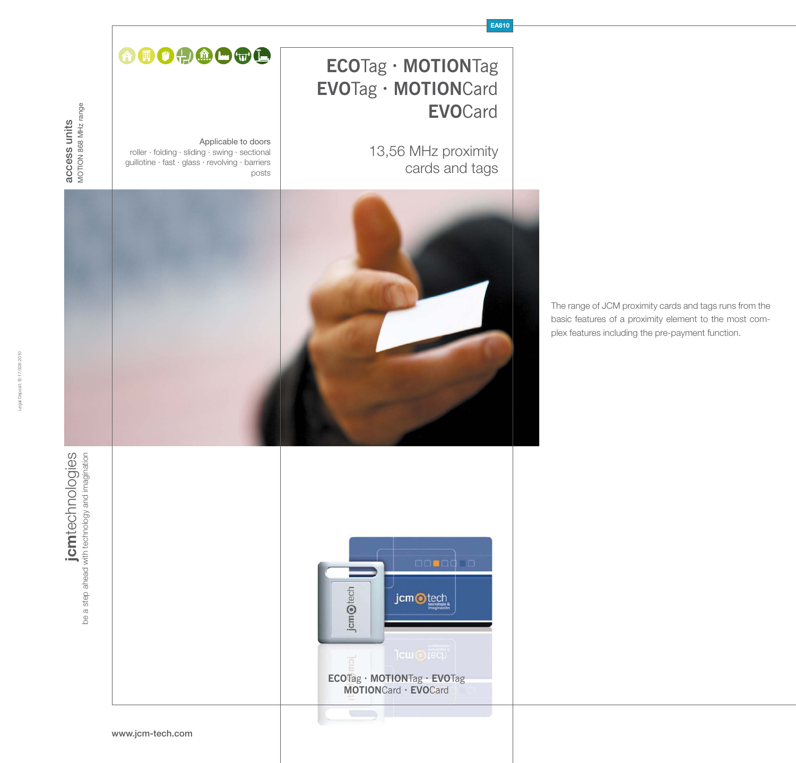

The range of JCM proximity cards and tags runs from the basic features of a proximity element to the most complex features including the pre-payment function.

**EA810**